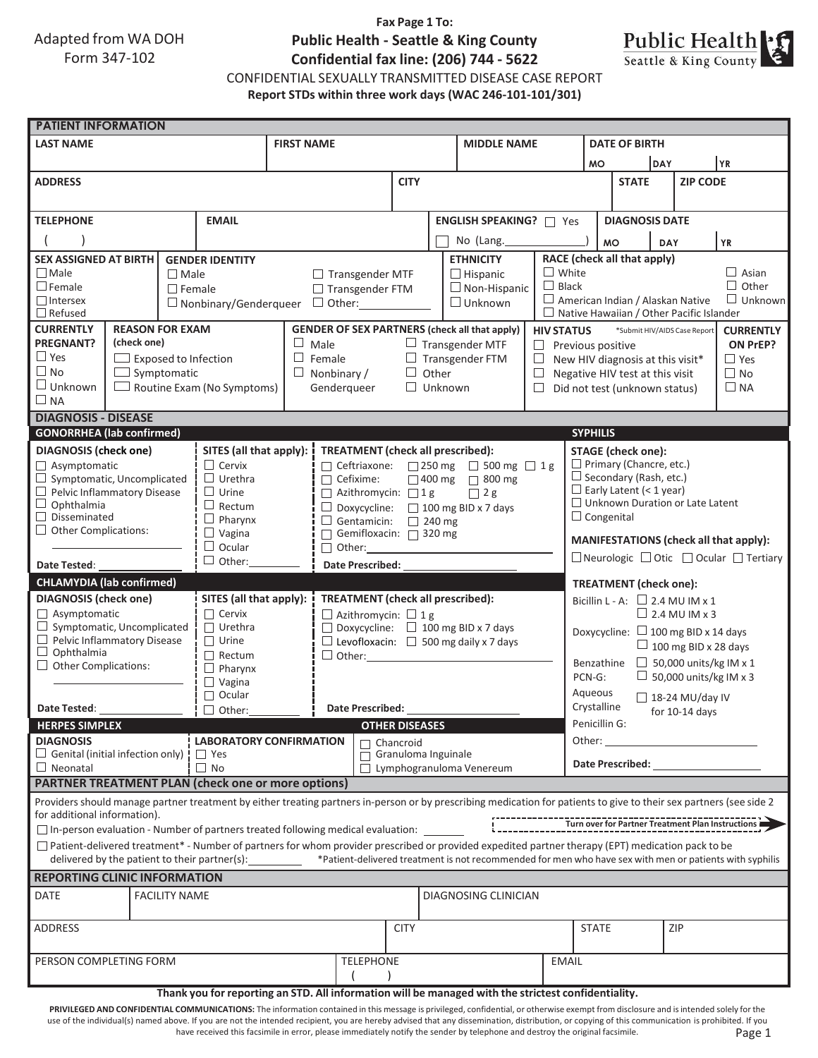Adapted from WA DOH Form 347-102

# **Fax Page 1 To: Public Health - Seattle & King County Confidential fax line: (206) 744 - 5622**



CONFIDENTIAL SEXUALLY TRANSMITTED DISEASE CASE REPORT **Report STDs within three work days (WAC 246-101-101/301)**

| <b>PATIENT INFORMATION</b>                                                                                                                                                                          |               |                                                                                        |                                               |                                                   |                                                      |                                                      |  |                                |                                                                                                                                                                                       |                                                      |                                                                                            |                                        |                 |     |                                                   |  |
|-----------------------------------------------------------------------------------------------------------------------------------------------------------------------------------------------------|---------------|----------------------------------------------------------------------------------------|-----------------------------------------------|---------------------------------------------------|------------------------------------------------------|------------------------------------------------------|--|--------------------------------|---------------------------------------------------------------------------------------------------------------------------------------------------------------------------------------|------------------------------------------------------|--------------------------------------------------------------------------------------------|----------------------------------------|-----------------|-----|---------------------------------------------------|--|
| <b>LAST NAME</b>                                                                                                                                                                                    |               |                                                                                        |                                               | <b>FIRST NAME</b>                                 |                                                      |                                                      |  | <b>MIDDLE NAME</b>             |                                                                                                                                                                                       | <b>DATE OF BIRTH</b>                                 |                                                                                            |                                        |                 |     |                                                   |  |
|                                                                                                                                                                                                     |               |                                                                                        |                                               |                                                   |                                                      |                                                      |  |                                |                                                                                                                                                                                       |                                                      | <b>MO</b>                                                                                  |                                        | <b>DAY</b>      |     | YR                                                |  |
| <b>ADDRESS</b>                                                                                                                                                                                      |               |                                                                                        |                                               |                                                   |                                                      | <b>CITY</b>                                          |  |                                |                                                                                                                                                                                       |                                                      | <b>STATE</b>                                                                               |                                        | <b>ZIP CODE</b> |     |                                                   |  |
|                                                                                                                                                                                                     |               |                                                                                        |                                               |                                                   |                                                      |                                                      |  |                                |                                                                                                                                                                                       |                                                      |                                                                                            |                                        |                 |     |                                                   |  |
| <b>EMAIL</b><br><b>TELEPHONE</b>                                                                                                                                                                    |               |                                                                                        |                                               |                                                   |                                                      |                                                      |  | <b>ENGLISH SPEAKING?</b> □ Yes |                                                                                                                                                                                       |                                                      | <b>DIAGNOSIS DATE</b>                                                                      |                                        |                 |     |                                                   |  |
|                                                                                                                                                                                                     |               |                                                                                        |                                               |                                                   |                                                      |                                                      |  |                                | No (Lang.                                                                                                                                                                             |                                                      |                                                                                            | <b>MO</b><br><b>YR</b><br><b>DAY</b>   |                 |     |                                                   |  |
| <b>SEX ASSIGNED AT BIRTH</b>                                                                                                                                                                        |               |                                                                                        | <b>GENDER IDENTITY</b>                        |                                                   |                                                      |                                                      |  |                                | RACE (check all that apply)<br><b>ETHNICITY</b>                                                                                                                                       |                                                      |                                                                                            |                                        |                 |     |                                                   |  |
| $\Box$ Male                                                                                                                                                                                         |               |                                                                                        | $\Box$ Male                                   |                                                   |                                                      | $\Box$ Hispanic<br>$\Box$ Transgender MTF            |  |                                |                                                                                                                                                                                       |                                                      | $\Box$ White<br>$\Box$ Asian                                                               |                                        |                 |     |                                                   |  |
| $\Box$ Female                                                                                                                                                                                       |               | $\Box$ Female                                                                          |                                               |                                                   | $\Box$ Transgender FTM                               |                                                      |  |                                | $\Box$ Non-Hispanic                                                                                                                                                                   | $\Box$ Black                                         |                                                                                            | $\Box$ Other<br>$\Box$ Unknown         |                 |     |                                                   |  |
| $\Box$ Intersex<br>$\Box$ Refused                                                                                                                                                                   |               |                                                                                        | $\Box$ Nonbinary/Genderqueer                  |                                                   |                                                      | $\Box$ Unknown<br>$\Box$ Other: $\Box$               |  |                                |                                                                                                                                                                                       |                                                      | $\Box$ American Indian / Alaskan Native<br>$\Box$ Native Hawaiian / Other Pacific Islander |                                        |                 |     |                                                   |  |
| <b>CURRENTLY</b><br><b>REASON FOR EXAM</b>                                                                                                                                                          |               |                                                                                        |                                               |                                                   | <b>GENDER OF SEX PARTNERS (check all that apply)</b> |                                                      |  |                                | <b>HIV STATUS</b><br>*Submit HIV/AIDS Case Report<br><b>CURRENTLY</b>                                                                                                                 |                                                      |                                                                                            |                                        |                 |     |                                                   |  |
| <b>PREGNANT?</b><br>(check one)                                                                                                                                                                     |               |                                                                                        |                                               | $\Box$ Male                                       | $\Box$ Transgender MTF                               |                                                      |  |                                | ON PrEP?<br>$\Box$ Previous positive                                                                                                                                                  |                                                      |                                                                                            |                                        |                 |     |                                                   |  |
| $\Box$ Yes<br>$\Box$ Exposed to Infection                                                                                                                                                           |               |                                                                                        | $\Box$ Female                                 |                                                   |                                                      | $\Box$ Transgender FTM                               |  |                                |                                                                                                                                                                                       |                                                      | $\Box$ New HIV diagnosis at this visit*<br>$\Box$ Yes                                      |                                        |                 |     |                                                   |  |
| $\Box$ No<br>$\Box$ Symptomatic                                                                                                                                                                     |               |                                                                                        |                                               |                                                   |                                                      | $\Box$ Nonbinary /<br>$\Box$ Other                   |  |                                | $\Box$                                                                                                                                                                                | $\Box$ No<br>Negative HIV test at this visit         |                                                                                            |                                        |                 |     |                                                   |  |
| $\Box$ Unknown                                                                                                                                                                                      |               | $\Box$ Routine Exam (No Symptoms)                                                      |                                               |                                                   | Genderqueer<br>$\Box$ Unknown                        |                                                      |  |                                | Did not test (unknown status)<br>$\Box$ NA<br>$\Box$                                                                                                                                  |                                                      |                                                                                            |                                        |                 |     |                                                   |  |
| $\square$ NA                                                                                                                                                                                        |               |                                                                                        |                                               |                                                   |                                                      |                                                      |  |                                |                                                                                                                                                                                       |                                                      |                                                                                            |                                        |                 |     |                                                   |  |
| <b>DIAGNOSIS - DISEASE</b><br><b>GONORRHEA</b> (lab confirmed)                                                                                                                                      |               |                                                                                        |                                               |                                                   |                                                      |                                                      |  |                                |                                                                                                                                                                                       |                                                      |                                                                                            |                                        |                 |     |                                                   |  |
|                                                                                                                                                                                                     |               |                                                                                        |                                               |                                                   |                                                      |                                                      |  |                                |                                                                                                                                                                                       | <b>SYPHILIS</b>                                      |                                                                                            |                                        |                 |     |                                                   |  |
| <b>DIAGNOSIS</b> (check one)                                                                                                                                                                        |               |                                                                                        | SITES (all that apply): !<br>$\Box$ Cervix    |                                                   |                                                      | TREATMENT (check all prescribed):                    |  |                                |                                                                                                                                                                                       | <b>STAGE (check one):</b><br>Primary (Chancre, etc.) |                                                                                            |                                        |                 |     |                                                   |  |
| Asymptomatic<br>$\Box$ Symptomatic, Uncomplicated                                                                                                                                                   |               |                                                                                        | $\Box$ Urethra                                |                                                   | □ Ceftriaxone: 250 mg □ 500 mg □ 1 g                 |                                                      |  |                                | $\Box$ Secondary (Rash, etc.)                                                                                                                                                         |                                                      |                                                                                            |                                        |                 |     |                                                   |  |
| $\Box$ Pelvic Inflammatory Disease                                                                                                                                                                  | $\Box$ Urine  | $\Box$ Cefixime:<br>□ 400 mg □ 800 mg<br>$\Box$ Azithromycin: $\Box$ 1 g<br>$\Box$ 2 g |                                               |                                                   |                                                      |                                                      |  |                                |                                                                                                                                                                                       | $\Box$ Early Latent (< 1 year)                       |                                                                                            |                                        |                 |     |                                                   |  |
| $\Box$ Ophthalmia                                                                                                                                                                                   |               |                                                                                        | $\Box$ Rectum                                 | $\Box$ Doxycycline: $\Box$ 100 mg BID x 7 days    |                                                      |                                                      |  |                                |                                                                                                                                                                                       |                                                      | $\Box$ Unknown Duration or Late Latent                                                     |                                        |                 |     |                                                   |  |
| $\Box$<br>Disseminated                                                                                                                                                                              |               |                                                                                        | $\Box$ Pharynx<br>$\Box$ Gentamicin:          |                                                   |                                                      |                                                      |  | $\Box$ 240 mg                  |                                                                                                                                                                                       |                                                      | $\Box$ Congenital                                                                          |                                        |                 |     |                                                   |  |
| $\Box$ Other Complications:                                                                                                                                                                         |               |                                                                                        | $\Box$ Vagina<br>□ Gemifloxacin: □ 320 mg     |                                                   |                                                      |                                                      |  |                                |                                                                                                                                                                                       |                                                      |                                                                                            | MANIFESTATIONS (check all that apply): |                 |     |                                                   |  |
|                                                                                                                                                                                                     |               |                                                                                        | $\Box$ Ocular<br>$\Box$ Other:                |                                                   |                                                      |                                                      |  |                                |                                                                                                                                                                                       |                                                      | $\Box$ Neurologic $\Box$ Otic $\Box$ Ocular $\Box$ Tertiary                                |                                        |                 |     |                                                   |  |
| Date Tested:                                                                                                                                                                                        | $\Box$ Other: | <b>Date Prescribed:</b>                                                                |                                               |                                                   |                                                      |                                                      |  |                                |                                                                                                                                                                                       |                                                      |                                                                                            |                                        |                 |     |                                                   |  |
| <b>CHLAMYDIA (lab confirmed)</b>                                                                                                                                                                    |               |                                                                                        |                                               |                                                   |                                                      |                                                      |  |                                |                                                                                                                                                                                       |                                                      |                                                                                            | <b>TREATMENT</b> (check one):          |                 |     |                                                   |  |
| <b>DIAGNOSIS</b> (check one)                                                                                                                                                                        |               |                                                                                        | SITES (all that apply):                       |                                                   | TREATMENT (check all prescribed):                    |                                                      |  |                                |                                                                                                                                                                                       | Bicillin L - A: $\Box$ 2.4 MU IM x 1                 |                                                                                            |                                        |                 |     |                                                   |  |
| $\Box$ Asymptomatic                                                                                                                                                                                 |               |                                                                                        | $\Box$ Cervix                                 |                                                   | $\Box$ Azithromycin: $\Box$ 1 g                      |                                                      |  |                                |                                                                                                                                                                                       | $\Box$ 2.4 MU IM x 3                                 |                                                                                            |                                        |                 |     |                                                   |  |
| Symptomatic, Uncomplicated                                                                                                                                                                          |               |                                                                                        | $\Box$ Urethra                                |                                                   |                                                      | $\Box$ Doxycycline: $\Box$ 100 mg BID x 7 days       |  |                                |                                                                                                                                                                                       |                                                      | Doxycycline: $\Box$ 100 mg BID x 14 days                                                   |                                        |                 |     |                                                   |  |
| $\Box$ Pelvic Inflammatory Disease<br>$\Box$<br>Ophthalmia                                                                                                                                          |               |                                                                                        | $\Box$ Urine                                  | $\Box$ Levofloxacin: $\Box$ 500 mg daily x 7 days |                                                      |                                                      |  |                                |                                                                                                                                                                                       | $\Box$ 100 mg BID x 28 days                          |                                                                                            |                                        |                 |     |                                                   |  |
| $\Box$ Other Complications:                                                                                                                                                                         |               |                                                                                        | $\Box$ Rectum<br>$\Box$ Pharynx               |                                                   |                                                      | $\Box$ Other: $\Box$                                 |  |                                |                                                                                                                                                                                       |                                                      | $\Box$ 50,000 units/kg IM x 1<br>Benzathine                                                |                                        |                 |     |                                                   |  |
|                                                                                                                                                                                                     |               | $\Box$ Vagina                                                                          |                                               |                                                   |                                                      |                                                      |  |                                |                                                                                                                                                                                       | $\Box$ 50,000 units/kg IM x 3<br>PCN-G:              |                                                                                            |                                        |                 |     |                                                   |  |
|                                                                                                                                                                                                     |               |                                                                                        | $\Box$ Ocular                                 |                                                   |                                                      |                                                      |  |                                |                                                                                                                                                                                       |                                                      | Aqueous<br>$\Box$ 18-24 MU/day IV                                                          |                                        |                 |     |                                                   |  |
| Date Tested:                                                                                                                                                                                        |               |                                                                                        | $\Box$ Other:                                 | Date Prescribed:                                  |                                                      |                                                      |  |                                |                                                                                                                                                                                       |                                                      |                                                                                            | Crystalline<br>for 10-14 days          |                 |     |                                                   |  |
| <b>HERPES SIMPLEX</b>                                                                                                                                                                               |               |                                                                                        |                                               |                                                   | <b>OTHER DISEASES</b>                                |                                                      |  |                                |                                                                                                                                                                                       |                                                      | Penicillin G:                                                                              |                                        |                 |     |                                                   |  |
| <b>DIAGNOSIS</b>                                                                                                                                                                                    |               | <b>LABORATORY CONFIRMATION</b><br>$\Box$ Chancroid                                     |                                               |                                                   |                                                      |                                                      |  |                                |                                                                                                                                                                                       | Other:                                               |                                                                                            |                                        |                 |     |                                                   |  |
| $\Box$ Genital (initial infection only) !                                                                                                                                                           |               |                                                                                        | $\Box$ Yes                                    |                                                   |                                                      | Granuloma Inguinale<br>П<br>Lymphogranuloma Venereum |  |                                |                                                                                                                                                                                       |                                                      | <b>Date Prescribed:</b>                                                                    |                                        |                 |     |                                                   |  |
| $\Box$ Neonatal                                                                                                                                                                                     |               |                                                                                        | $\Box$ No                                     |                                                   |                                                      | $\perp$                                              |  |                                |                                                                                                                                                                                       |                                                      |                                                                                            |                                        |                 |     |                                                   |  |
| <b>PARTNER TREATMENT PLAN (check one or more options)</b>                                                                                                                                           |               |                                                                                        |                                               |                                                   |                                                      |                                                      |  |                                |                                                                                                                                                                                       |                                                      |                                                                                            |                                        |                 |     |                                                   |  |
| Providers should manage partner treatment by either treating partners in-person or by prescribing medication for patients to give to their sex partners (see side 2<br>for additional information). |               |                                                                                        |                                               |                                                   |                                                      |                                                      |  |                                |                                                                                                                                                                                       |                                                      |                                                                                            |                                        |                 |     |                                                   |  |
| $\Box$ In-person evaluation - Number of partners treated following medical evaluation:                                                                                                              |               |                                                                                        |                                               |                                                   |                                                      |                                                      |  |                                |                                                                                                                                                                                       |                                                      |                                                                                            |                                        |                 |     | Turn over for Partner Treatment Plan Instructions |  |
|                                                                                                                                                                                                     |               |                                                                                        |                                               |                                                   |                                                      |                                                      |  |                                | $\Box$ Patient-delivered treatment* - Number of partners for whom provider prescribed or provided expedited partner therapy (EPT) medication pack to be                               |                                                      |                                                                                            |                                        |                 |     |                                                   |  |
|                                                                                                                                                                                                     |               |                                                                                        | delivered by the patient to their partner(s): |                                                   |                                                      |                                                      |  |                                | *Patient-delivered treatment is not recommended for men who have sex with men or patients with syphilis                                                                               |                                                      |                                                                                            |                                        |                 |     |                                                   |  |
| <b>REPORTING CLINIC INFORMATION</b>                                                                                                                                                                 |               |                                                                                        |                                               |                                                   |                                                      |                                                      |  |                                |                                                                                                                                                                                       |                                                      |                                                                                            |                                        |                 |     |                                                   |  |
| DATE                                                                                                                                                                                                |               | <b>FACILITY NAME</b>                                                                   |                                               |                                                   |                                                      |                                                      |  |                                |                                                                                                                                                                                       |                                                      |                                                                                            |                                        |                 |     |                                                   |  |
|                                                                                                                                                                                                     |               | DIAGNOSING CLINICIAN                                                                   |                                               |                                                   |                                                      |                                                      |  |                                |                                                                                                                                                                                       |                                                      |                                                                                            |                                        |                 |     |                                                   |  |
| <b>ADDRESS</b>                                                                                                                                                                                      |               |                                                                                        |                                               |                                                   |                                                      | <b>CITY</b>                                          |  |                                | <b>STATE</b>                                                                                                                                                                          |                                                      |                                                                                            |                                        |                 | ZIP |                                                   |  |
|                                                                                                                                                                                                     |               |                                                                                        |                                               |                                                   |                                                      |                                                      |  |                                |                                                                                                                                                                                       |                                                      |                                                                                            |                                        |                 |     |                                                   |  |
| PERSON COMPLETING FORM                                                                                                                                                                              |               |                                                                                        |                                               |                                                   |                                                      | <b>TELEPHONE</b>                                     |  |                                |                                                                                                                                                                                       | <b>EMAIL</b>                                         |                                                                                            |                                        |                 |     |                                                   |  |
| Thank you for reporting an STD. All information will be managed with the strictest confidentiality.                                                                                                 |               |                                                                                        |                                               |                                                   |                                                      |                                                      |  |                                |                                                                                                                                                                                       |                                                      |                                                                                            |                                        |                 |     |                                                   |  |
|                                                                                                                                                                                                     |               |                                                                                        |                                               |                                                   |                                                      |                                                      |  |                                | PRIVILEGED AND CONFIDENTIAL COMMUNICATIONS: The information contained in this message is privileged, confidential, or otherwise exempt from disclosure and is intended solely for the |                                                      |                                                                                            |                                        |                 |     |                                                   |  |

Page 1 use of the individual(s) named above. If you are not the intended recipient, you are hereby advised that any dissemination, distribution, or copying of this communication is prohibited. If you have received this facsimile in error, please immediately notify the sender by telephone and destroy the original facsimile.